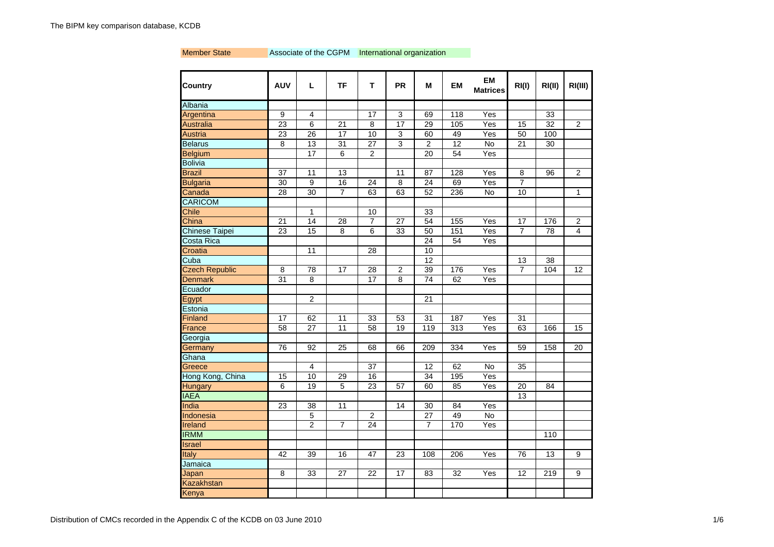### Member State **Associate of the CGPM** International organization

| <b>Country</b>        | <b>AUV</b>      | I.              | <b>TF</b>       | т               | <b>PR</b>       | М               | <b>EM</b>       | EM<br><b>Matrices</b> | RI(1)           | RI(II)          | RI(III)         |
|-----------------------|-----------------|-----------------|-----------------|-----------------|-----------------|-----------------|-----------------|-----------------------|-----------------|-----------------|-----------------|
| Albania               |                 |                 |                 |                 |                 |                 |                 |                       |                 |                 |                 |
| Argentina             | 9               | 4               |                 | 17              | 3               | 69              | 118             | Yes                   |                 | 33              |                 |
| <b>Australia</b>      | 23              | $\overline{6}$  | 21              | $\overline{8}$  | $\overline{17}$ | 29              | 105             | Yes                   | 15              | $\overline{32}$ | $\overline{2}$  |
| <b>Austria</b>        | 23              | $\overline{26}$ | $\overline{17}$ | 10              | $\overline{3}$  | 60              | 49              | Yes                   | 50              | 100             |                 |
| <b>Belarus</b>        | 8               | 13              | $\overline{31}$ | $\overline{27}$ | 3               | $\overline{2}$  | 12              | No                    | 21              | 30              |                 |
| <b>Belgium</b>        |                 | $\overline{17}$ | 6               | $\overline{2}$  |                 | $\overline{20}$ | $\overline{54}$ | Yes                   |                 |                 |                 |
| <b>Bolivia</b>        |                 |                 |                 |                 |                 |                 |                 |                       |                 |                 |                 |
| <b>Brazil</b>         | 37              | 11              | 13              |                 | 11              | 87              | 128             | Yes                   | 8               | 96              | $\overline{2}$  |
| <b>Bulgaria</b>       | 30              | 9               | 16              | 24              | 8               | $\overline{24}$ | 69              | Yes                   | $\overline{7}$  |                 |                 |
| Canada                | 28              | 30              | $\overline{7}$  | 63              | 63              | 52              | 236             | No                    | 10              |                 | $\mathbf{1}$    |
| <b>CARICOM</b>        |                 |                 |                 |                 |                 |                 |                 |                       |                 |                 |                 |
| <b>Chile</b>          |                 | 1               |                 | 10              |                 | 33              |                 |                       |                 |                 |                 |
| China                 | 21              | 14              | 28              | $\overline{7}$  | 27              | 54              | 155             | Yes                   | 17              | 176             | $\overline{2}$  |
| <b>Chinese Taipei</b> | 23              | 15              | 8               | 6               | 33              | 50              | 151             | Yes                   | $\overline{7}$  | 78              | 4               |
| Costa Rica            |                 |                 |                 |                 |                 | 24              | 54              | Yes                   |                 |                 |                 |
| Croatia               |                 | 11              |                 | 28              |                 | 10              |                 |                       |                 |                 |                 |
| Cuba                  |                 |                 |                 |                 |                 | $\overline{12}$ |                 |                       | 13              | 38              |                 |
| <b>Czech Republic</b> | 8               | 78              | 17              | 28              | $\overline{2}$  | 39              | 176             | Yes                   | 7               | 104             | 12              |
| <b>Denmark</b>        | 31              | 8               |                 | $\overline{17}$ | 8               | 74              | 62              | Yes                   |                 |                 |                 |
| Ecuador               |                 |                 |                 |                 |                 |                 |                 |                       |                 |                 |                 |
| Egypt                 |                 | $\overline{2}$  |                 |                 |                 | 21              |                 |                       |                 |                 |                 |
| Estonia               |                 |                 |                 |                 |                 |                 |                 |                       |                 |                 |                 |
| Finland               | 17              | 62              | 11              | 33              | 53              | 31              | 187             | Yes                   | 31              |                 |                 |
| France                | 58              | 27              | 11              | 58              | 19              | 119             | 313             | Yes                   | 63              | 166             | 15              |
| Georgia               |                 |                 |                 |                 |                 |                 |                 |                       |                 |                 |                 |
| Germany               | 76              | 92              | $\overline{25}$ | 68              | 66              | 209             | 334             | Yes                   | 59              | 158             | $\overline{20}$ |
| Ghana                 |                 |                 |                 |                 |                 |                 |                 |                       |                 |                 |                 |
| Greece                |                 | 4               |                 | 37              |                 | 12              | 62              | <b>No</b>             | 35              |                 |                 |
| Hong Kong, China      | 15              | 10              | 29              | 16              |                 | 34              | 195             | Yes                   |                 |                 |                 |
| Hungary               | 6               | 19              | 5               | 23              | 57              | 60              | 85              | Yes                   | 20              | 84              |                 |
| <b>IAEA</b>           |                 |                 |                 |                 |                 |                 |                 |                       | $\overline{13}$ |                 |                 |
| India                 | $\overline{23}$ | $\overline{38}$ | 11              |                 | 14              | 30              | 84              | Yes                   |                 |                 |                 |
| Indonesia             |                 | $\overline{5}$  |                 | $\overline{c}$  |                 | $\overline{27}$ | 49              | $\overline{N}$        |                 |                 |                 |
| <b>Ireland</b>        |                 | $\overline{2}$  | $\overline{7}$  | 24              |                 | $\overline{7}$  | 170             | Yes                   |                 |                 |                 |
| <b>IRMM</b>           |                 |                 |                 |                 |                 |                 |                 |                       |                 | 110             |                 |
| Israel                |                 |                 |                 |                 |                 |                 |                 |                       |                 |                 |                 |
| Italy                 | 42              | 39              | 16              | 47              | 23              | 108             | 206             | Yes                   | 76              | 13              | 9               |
| Jamaica               |                 |                 |                 |                 |                 |                 |                 |                       |                 |                 |                 |
| Japan                 | 8               | 33              | 27              | 22              | 17              | 83              | 32              | Yes                   | 12              | 219             | 9               |
| Kazakhstan            |                 |                 |                 |                 |                 |                 |                 |                       |                 |                 |                 |
| Kenya                 |                 |                 |                 |                 |                 |                 |                 |                       |                 |                 |                 |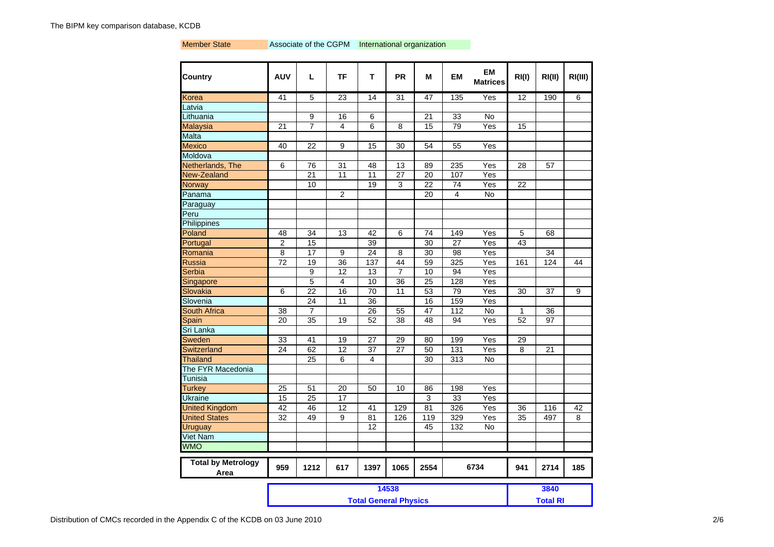#### Member State **Associate of the CGPM** International organization

| <b>Country</b>                    | <b>AUV</b>                   | L               | TF              | т               | <b>PR</b>       | M    | <b>EM</b>       | <b>EM</b><br><b>Matrices</b> | RI(I)           | RI(II) | RI(III) |
|-----------------------------------|------------------------------|-----------------|-----------------|-----------------|-----------------|------|-----------------|------------------------------|-----------------|--------|---------|
| Korea                             | 41                           | $\overline{5}$  | 23              | 14              | 31              | 47   | 135             | Yes                          | 12              | 190    | 6       |
| Latvia                            |                              |                 |                 |                 |                 |      |                 |                              |                 |        |         |
| Lithuania                         |                              | 9               | 16              | 6               |                 | 21   | 33              | No                           |                 |        |         |
| <b>Malaysia</b>                   | 21                           | $\overline{7}$  | 4               | 6               | 8               | 15   | 79              | Yes                          | 15              |        |         |
| Malta                             |                              |                 |                 |                 |                 |      |                 |                              |                 |        |         |
| <b>Mexico</b>                     | 40                           | 22              | 9               | 15              | 30              | 54   | 55              | Yes                          |                 |        |         |
| Moldova                           |                              |                 |                 |                 |                 |      |                 |                              |                 |        |         |
| Netherlands, The                  | 6                            | 76              | 31              | 48              | 13              | 89   | 235             | Yes                          | 28              | 57     |         |
| New-Zealand                       |                              | 21              | 11              | 11              | 27              | 20   | 107             | Yes                          |                 |        |         |
| Norway                            |                              | 10              |                 | 19              | 3               | 22   | 74              | Yes                          | 22              |        |         |
| Panama                            |                              |                 | $\overline{2}$  |                 |                 | 20   | 4               | No                           |                 |        |         |
| Paraguay                          |                              |                 |                 |                 |                 |      |                 |                              |                 |        |         |
| Peru                              |                              |                 |                 |                 |                 |      |                 |                              |                 |        |         |
| Philippines                       |                              |                 |                 |                 |                 |      |                 |                              |                 |        |         |
| Poland                            | 48                           | 34              | 13              | 42              | 6               | 74   | 149             | Yes                          | 5               | 68     |         |
| Portugal                          | $\overline{c}$               | 15              |                 | 39              |                 | 30   | $\overline{27}$ | Yes                          | 43              |        |         |
| Romania                           | $\overline{8}$               | 17              | 9               | 24              | 8               | 30   | 98              | $\overline{Yes}$             |                 | 34     |         |
| Russia                            | $\overline{72}$              | 19              | 36              | 137             | 44              | 59   | 325             | Yes                          | 161             | 124    | 44      |
| Serbia                            |                              | 9               | 12              | 13              | $\overline{7}$  | 10   | 94              | Yes                          |                 |        |         |
| Singapore                         |                              | 5               | 4               | 10              | $\overline{36}$ | 25   | 128             | Yes                          |                 |        |         |
| Slovakia                          | 6                            | $\overline{22}$ | 16              | 70              | $\overline{11}$ | 53   | 79              | Yes                          | 30              | 37     | 9       |
| Slovenia                          |                              | $\overline{24}$ | 11              | $\overline{36}$ |                 | 16   | 159             | Yes                          |                 |        |         |
| <b>South Africa</b>               | 38                           | 7               |                 | 26              | 55              | 47   | 112             | <b>No</b>                    | 1               | 36     |         |
| Spain                             | 20                           | 35              | 19              | 52              | 38              | 48   | 94              | Yes                          | 52              | 97     |         |
| Sri Lanka                         |                              |                 |                 |                 |                 |      |                 |                              |                 |        |         |
| Sweden                            | 33                           | 41              | 19              | $\overline{27}$ | 29              | 80   | 199             | Yes                          | 29              |        |         |
| Switzerland                       | 24                           | 62              | $\overline{12}$ | 37              | 27              | 50   | 131             | Yes                          | 8               | 21     |         |
| Thailand                          |                              | 25              | 6               | 4               |                 | 30   | 313             | No                           |                 |        |         |
| The FYR Macedonia                 |                              |                 |                 |                 |                 |      |                 |                              |                 |        |         |
| Tunisia                           |                              |                 |                 |                 |                 |      |                 |                              |                 |        |         |
| Turkey                            | $\overline{25}$              | 51              | 20              | 50              | 10              | 86   | 198             | Yes                          |                 |        |         |
| <b>Ukraine</b>                    | 15                           | $\overline{25}$ | 17              |                 |                 | 3    | 33              | Yes                          |                 |        |         |
| <b>United Kingdom</b>             | 42                           | 46              | 12              | 41              | 129             | 81   | 326             | Yes                          | 36              | 116    | 42      |
| <b>United States</b>              | 32                           | 49              | 9               | 81              | 126             | 119  | 329             | Yes                          | 35              | 497    | 8       |
| <b>Uruguay</b>                    |                              |                 |                 | 12              |                 | 45   | 132             | No                           |                 |        |         |
| <b>Viet Nam</b>                   |                              |                 |                 |                 |                 |      |                 |                              |                 |        |         |
| <b>WMO</b>                        |                              |                 |                 |                 |                 |      |                 |                              |                 |        |         |
| <b>Total by Metrology</b><br>Area | 959                          | 1212            | 617             | 1397            | 1065            | 2554 |                 | 6734                         | 941             | 2714   | 185     |
|                                   |                              |                 |                 |                 | 14538           |      |                 |                              |                 | 3840   |         |
|                                   |                              |                 |                 |                 |                 |      |                 |                              | <b>Total RI</b> |        |         |
|                                   | <b>Total General Physics</b> |                 |                 |                 |                 |      |                 |                              |                 |        |         |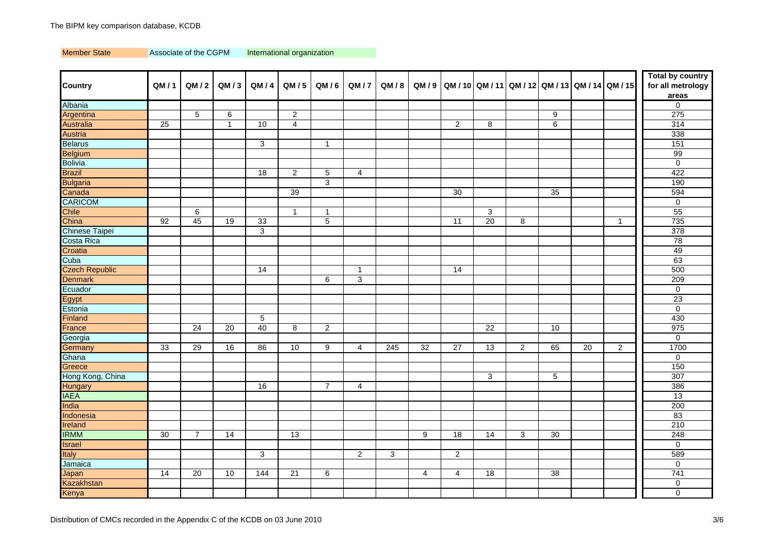Member State Associate of the CGPM International organization

|                       |      |                |              |      |                |                |                |                |                 |                |                 |                |    |    |                                                      | <b>Total by country</b> |
|-----------------------|------|----------------|--------------|------|----------------|----------------|----------------|----------------|-----------------|----------------|-----------------|----------------|----|----|------------------------------------------------------|-------------------------|
| <b>Country</b>        | QM/1 | QM/2           | QM/3         | QM/4 | QM / 5         | QM/6           | QM/7           | QM/8           |                 |                |                 |                |    |    | QM/9   QM/10   QM/11   QM/12   QM/13   QM/14   QM/15 | for all metrology       |
|                       |      |                |              |      |                |                |                |                |                 |                |                 |                |    |    |                                                      | areas                   |
| Albania               |      |                |              |      |                |                |                |                |                 |                |                 |                |    |    |                                                      | $\mathbf 0$             |
| Argentina             |      | 5              | 6            |      | 2              |                |                |                |                 |                |                 |                | 9  |    |                                                      | 275                     |
| <b>Australia</b>      | 25   |                | $\mathbf{1}$ | 10   | $\overline{4}$ |                |                |                |                 | $\overline{2}$ | 8               |                | 6  |    |                                                      | 314                     |
| Austria               |      |                |              |      |                |                |                |                |                 |                |                 |                |    |    |                                                      | 338                     |
| <b>Belarus</b>        |      |                |              | 3    |                | $\overline{1}$ |                |                |                 |                |                 |                |    |    |                                                      | 151                     |
| <b>Belgium</b>        |      |                |              |      |                |                |                |                |                 |                |                 |                |    |    |                                                      | 99                      |
| <b>Bolivia</b>        |      |                |              |      |                |                |                |                |                 |                |                 |                |    |    |                                                      | $\mathbf{0}$            |
| <b>Brazil</b>         |      |                |              | 18   | 2              | 5              | $\overline{4}$ |                |                 |                |                 |                |    |    |                                                      | 422                     |
| <b>Bulgaria</b>       |      |                |              |      |                | 3              |                |                |                 |                |                 |                |    |    |                                                      | 190                     |
| Canada                |      |                |              |      | 39             |                |                |                |                 | 30             |                 |                | 35 |    |                                                      | 594                     |
| <b>CARICOM</b>        |      |                |              |      |                |                |                |                |                 |                |                 |                |    |    |                                                      | $\mathbf 0$             |
| Chile                 |      | 6              |              |      | $\mathbf{1}$   | 1              |                |                |                 |                | 3               |                |    |    |                                                      | 55                      |
| China                 | 92   | 45             | 19           | 33   |                | 5              |                |                |                 | 11             | 20              | 8              |    |    | $\overline{1}$                                       | 735                     |
| Chinese Taipei        |      |                |              | 3    |                |                |                |                |                 |                |                 |                |    |    |                                                      | 378                     |
| Costa Rica            |      |                |              |      |                |                |                |                |                 |                |                 |                |    |    |                                                      | 78                      |
| Croatia               |      |                |              |      |                |                |                |                |                 |                |                 |                |    |    |                                                      | 49                      |
| Cuba                  |      |                |              |      |                |                |                |                |                 |                |                 |                |    |    |                                                      | 63                      |
| <b>Czech Republic</b> |      |                |              | 14   |                |                | $\mathbf{1}$   |                |                 | 14             |                 |                |    |    |                                                      | 500                     |
| <b>Denmark</b>        |      |                |              |      |                | $\,6$          | 3              |                |                 |                |                 |                |    |    |                                                      | 209                     |
| Ecuador               |      |                |              |      |                |                |                |                |                 |                |                 |                |    |    |                                                      | $\mathbf 0$             |
| Egypt                 |      |                |              |      |                |                |                |                |                 |                |                 |                |    |    |                                                      | $\overline{23}$         |
| Estonia               |      |                |              |      |                |                |                |                |                 |                |                 |                |    |    |                                                      | $\overline{0}$          |
| Finland               |      |                |              | 5    |                |                |                |                |                 |                |                 |                |    |    |                                                      | 430                     |
| France                |      | 24             | 20           | 40   | 8              | $\overline{c}$ |                |                |                 |                | $\overline{22}$ |                | 10 |    |                                                      | 975                     |
| Georgia               |      |                |              |      |                |                |                |                |                 |                |                 |                |    |    |                                                      | $\mathbf 0$             |
| Germany               | 33   | 29             | 16           | 86   | 10             | 9              | $\overline{4}$ | 245            | $\overline{32}$ | 27             | 13              | $\overline{2}$ | 65 | 20 | $\overline{2}$                                       | 1700                    |
| Ghana                 |      |                |              |      |                |                |                |                |                 |                |                 |                |    |    |                                                      | $\mathbf 0$             |
| Greece                |      |                |              |      |                |                |                |                |                 |                |                 |                |    |    |                                                      | 150                     |
| Hong Kong, China      |      |                |              |      |                |                |                |                |                 |                | 3               |                | 5  |    |                                                      | 307                     |
| <b>Hungary</b>        |      |                |              | 16   |                | $\overline{7}$ | $\overline{4}$ |                |                 |                |                 |                |    |    |                                                      | 386                     |
| <b>IAEA</b>           |      |                |              |      |                |                |                |                |                 |                |                 |                |    |    |                                                      | 13                      |
| India                 |      |                |              |      |                |                |                |                |                 |                |                 |                |    |    |                                                      | 200                     |
| Indonesia             |      |                |              |      |                |                |                |                |                 |                |                 |                |    |    |                                                      | 83                      |
| Ireland               |      |                |              |      |                |                |                |                |                 |                |                 |                |    |    |                                                      | 210                     |
| <b>IRMM</b>           | 30   | $\overline{7}$ | 14           |      | 13             |                |                |                | 9               | 18             | $\overline{14}$ | 3              | 30 |    |                                                      | 248                     |
| <b>Israel</b>         |      |                |              |      |                |                |                |                |                 |                |                 |                |    |    |                                                      | $\mathbf 0$             |
| <b>Italy</b>          |      |                |              | 3    |                |                | $\overline{2}$ | $\overline{3}$ |                 | $\overline{2}$ |                 |                |    |    |                                                      | 589                     |
| Jamaica               |      |                |              |      |                |                |                |                |                 |                |                 |                |    |    |                                                      | $\mathbf 0$             |
| Japan                 | 14   | 20             | 10           | 144  | 21             | 6              |                |                | 4               | $\overline{4}$ | 18              |                | 38 |    |                                                      | 741                     |
| <b>Kazakhstan</b>     |      |                |              |      |                |                |                |                |                 |                |                 |                |    |    |                                                      | $\mathbf 0$             |
| Kenya                 |      |                |              |      |                |                |                |                |                 |                |                 |                |    |    |                                                      | $\mathbf 0$             |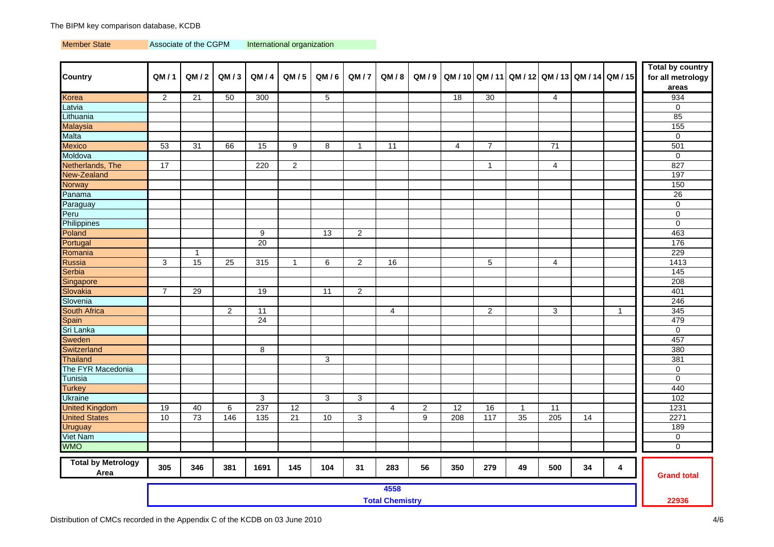Member State Associate of the CGPM International organization

| <b>Country</b>                    | QM/1                           | QM/2           | QM/3           | QM/4             | QM/5            | QM/6           | QM/7           | QM/8            |                  |                 |                |              |                |    | QM/9 QM/10 QM/11 QM/12 QM/13 QM/14 QM/15 | <b>Total by country</b><br>for all metrology<br>areas |
|-----------------------------------|--------------------------------|----------------|----------------|------------------|-----------------|----------------|----------------|-----------------|------------------|-----------------|----------------|--------------|----------------|----|------------------------------------------|-------------------------------------------------------|
| Korea                             | $\overline{2}$                 | 21             | 50             | 300              |                 | 5              |                |                 |                  | 18              | 30             |              | 4              |    |                                          | 934                                                   |
| Latvia                            |                                |                |                |                  |                 |                |                |                 |                  |                 |                |              |                |    |                                          | $\mathbf 0$                                           |
| Lithuania                         |                                |                |                |                  |                 |                |                |                 |                  |                 |                |              |                |    |                                          | 85                                                    |
| <b>Malaysia</b>                   |                                |                |                |                  |                 |                |                |                 |                  |                 |                |              |                |    |                                          | 155                                                   |
| <b>Malta</b>                      |                                |                |                |                  |                 |                |                |                 |                  |                 |                |              |                |    |                                          | $\mathbf 0$                                           |
| <b>Mexico</b>                     | 53                             | 31             | 66             | 15               | 9               | 8              | $\mathbf{1}$   | $\overline{11}$ |                  | 4               | $\overline{7}$ |              | 71             |    |                                          | 501                                                   |
| Moldova                           |                                |                |                |                  |                 |                |                |                 |                  |                 |                |              |                |    |                                          | $\mathsf 0$                                           |
| Netherlands, The                  | 17                             |                |                | 220              | $\overline{2}$  |                |                |                 |                  |                 | $\mathbf{1}$   |              | $\overline{4}$ |    |                                          | 827                                                   |
| New-Zealand                       |                                |                |                |                  |                 |                |                |                 |                  |                 |                |              |                |    |                                          | 197                                                   |
| <b>Norway</b>                     |                                |                |                |                  |                 |                |                |                 |                  |                 |                |              |                |    |                                          | 150                                                   |
| Panama                            |                                |                |                |                  |                 |                |                |                 |                  |                 |                |              |                |    |                                          | 26                                                    |
| Paraguay                          |                                |                |                |                  |                 |                |                |                 |                  |                 |                |              |                |    |                                          | $\mathbf 0$                                           |
| Peru                              |                                |                |                |                  |                 |                |                |                 |                  |                 |                |              |                |    |                                          | $\pmb{0}$                                             |
| Philippines                       |                                |                |                |                  |                 |                |                |                 |                  |                 |                |              |                |    |                                          | $\mathbf 0$                                           |
| Poland                            |                                |                |                | 9                |                 | 13             | $\overline{2}$ |                 |                  |                 |                |              |                |    |                                          | 463                                                   |
| Portugal                          |                                |                |                | $\overline{20}$  |                 |                |                |                 |                  |                 |                |              |                |    |                                          | 176                                                   |
| Romania                           |                                | $\overline{1}$ |                |                  |                 |                |                |                 |                  |                 |                |              |                |    |                                          | 229                                                   |
| Russia                            | 3                              | 15             | 25             | 315              | $\mathbf{1}$    | 6              | 2              | 16              |                  |                 | 5              |              | 4              |    |                                          | 1413                                                  |
| Serbia                            |                                |                |                |                  |                 |                |                |                 |                  |                 |                |              |                |    |                                          | 145                                                   |
| Singapore                         |                                |                |                |                  |                 |                |                |                 |                  |                 |                |              |                |    |                                          | 208                                                   |
| Slovakia                          | $\overline{7}$                 | 29             |                | 19               |                 | 11             | $\overline{c}$ |                 |                  |                 |                |              |                |    |                                          | 401                                                   |
| Slovenia                          |                                |                |                |                  |                 |                |                |                 |                  |                 |                |              |                |    |                                          | 246                                                   |
| <b>South Africa</b>               |                                |                | $\overline{2}$ | 11               |                 |                |                | 4               |                  |                 | $\overline{2}$ |              | 3              |    | $\overline{1}$                           | 345                                                   |
| <b>Spain</b>                      |                                |                |                | 24               |                 |                |                |                 |                  |                 |                |              |                |    |                                          | 479                                                   |
| Sri Lanka                         |                                |                |                |                  |                 |                |                |                 |                  |                 |                |              |                |    |                                          | $\mathbf 0$                                           |
| <b>Sweden</b>                     |                                |                |                |                  |                 |                |                |                 |                  |                 |                |              |                |    |                                          | 457                                                   |
| Switzerland                       |                                |                |                | 8                |                 |                |                |                 |                  |                 |                |              |                |    |                                          | 380                                                   |
| <b>Thailand</b>                   |                                |                |                |                  |                 | $\overline{3}$ |                |                 |                  |                 |                |              |                |    |                                          | 381                                                   |
| The FYR Macedonia                 |                                |                |                |                  |                 |                |                |                 |                  |                 |                |              |                |    |                                          | $\mathbf 0$                                           |
| Tunisia                           |                                |                |                |                  |                 |                |                |                 |                  |                 |                |              |                |    |                                          | $\mathbf 0$                                           |
| <b>Turkey</b>                     |                                |                |                |                  |                 |                |                |                 |                  |                 |                |              |                |    |                                          | 440                                                   |
| <b>Ukraine</b>                    |                                |                |                | $\mathbf{3}$     |                 | 3              | $\mathbf{3}$   |                 |                  |                 |                |              |                |    |                                          | 102                                                   |
| <b>United Kingdom</b>             | 19                             | 40             | 6              | 237              | 12              |                |                | $\overline{4}$  | $\boldsymbol{2}$ | $\overline{12}$ | 16             | $\mathbf{1}$ | 11             |    |                                          | 1231                                                  |
| <b>United States</b>              | 10                             | 73             | 146            | $\overline{135}$ | $\overline{21}$ | 10             | 3              |                 | 9                | 208             | 117            | 35           | 205            | 14 |                                          | 2271                                                  |
| <b>Uruguay</b>                    |                                |                |                |                  |                 |                |                |                 |                  |                 |                |              |                |    |                                          | 189                                                   |
| <b>Viet Nam</b>                   |                                |                |                |                  |                 |                |                |                 |                  |                 |                |              |                |    |                                          | $\pmb{0}$                                             |
| <b>OMW</b>                        |                                |                |                |                  |                 |                |                |                 |                  |                 |                |              |                |    |                                          | $\mathbf 0$                                           |
| <b>Total by Metrology</b><br>Area | 305                            | 346            | 381            | 1691             | 145             | 104            | 31             | 283             | 56               | 350             | 279            | 49           | 500            | 34 | 4                                        | <b>Grand total</b>                                    |
|                                   | 4558<br><b>Total Chemistry</b> |                |                |                  |                 |                |                |                 |                  | 22936           |                |              |                |    |                                          |                                                       |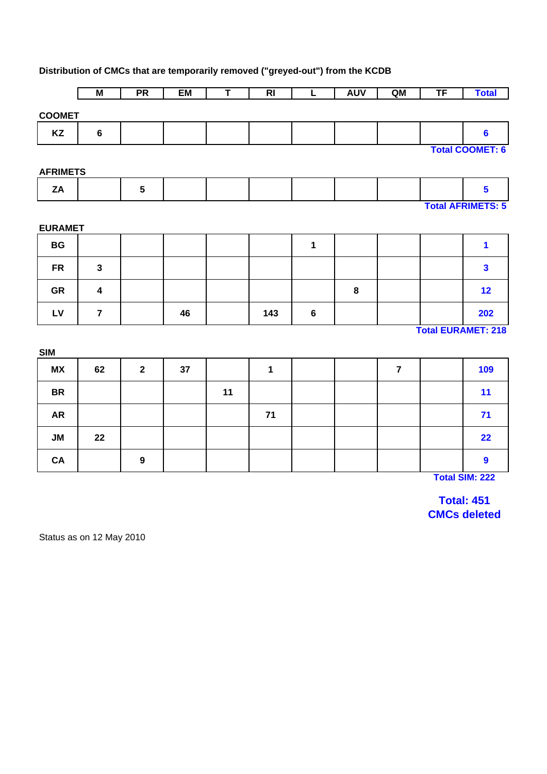# **Distribution of CMCs that are temporarily removed ("greyed-out") from the KCDB**

|                 | M                | $\overline{\mathsf{PR}}$ | EM | Ŧ  | R <sub>l</sub> | τ       | <b>AUV</b> | QM             | TF | <b>Total</b>              |
|-----------------|------------------|--------------------------|----|----|----------------|---------|------------|----------------|----|---------------------------|
| <b>COOMET</b>   |                  |                          |    |    |                |         |            |                |    |                           |
| KZ              | $6\phantom{1}$   |                          |    |    |                |         |            |                |    | $6\phantom{a}$            |
|                 |                  |                          |    |    |                |         |            |                |    | <b>Total COOMET: 6</b>    |
| <b>AFRIMETS</b> |                  |                          |    |    |                |         |            |                |    |                           |
| ZA              |                  | $5\phantom{.0}$          |    |    |                |         |            |                |    | $\overline{\mathbf{5}}$   |
|                 |                  |                          |    |    |                |         |            |                |    | <b>Total AFRIMETS: 5</b>  |
| <b>EURAMET</b>  |                  |                          |    |    |                |         |            |                |    |                           |
| <b>BG</b>       |                  |                          |    |    |                | 1       |            |                |    | 1                         |
| <b>FR</b>       | $\mathbf{3}$     |                          |    |    |                |         |            |                |    | $\overline{\mathbf{3}}$   |
| GR              | $\boldsymbol{4}$ |                          |    |    |                |         | 8          |                |    | 12                        |
| LV              | $\overline{7}$   |                          | 46 |    | 143            | $\bf 6$ |            |                |    | 202                       |
|                 |                  |                          |    |    |                |         |            |                |    | <b>Total EURAMET: 218</b> |
| <b>SIM</b>      |                  |                          |    |    |                |         |            |                |    |                           |
| <b>MX</b>       | 62               | $\overline{2}$           | 37 |    | $\mathbf{1}$   |         |            | $\overline{7}$ |    | 109                       |
| <b>BR</b>       |                  |                          |    | 11 |                |         |            |                |    | 11                        |
| <b>AR</b>       |                  |                          |    |    | 71             |         |            |                |    | 71                        |
| <b>JM</b>       | 22               |                          |    |    |                |         |            |                |    | 22                        |
| CA              |                  | $\boldsymbol{9}$         |    |    |                |         |            |                |    | $\boldsymbol{9}$          |

**Total SIM: 222**

**Total: 451 CMCs deleted**

Status as on 12 May 2010